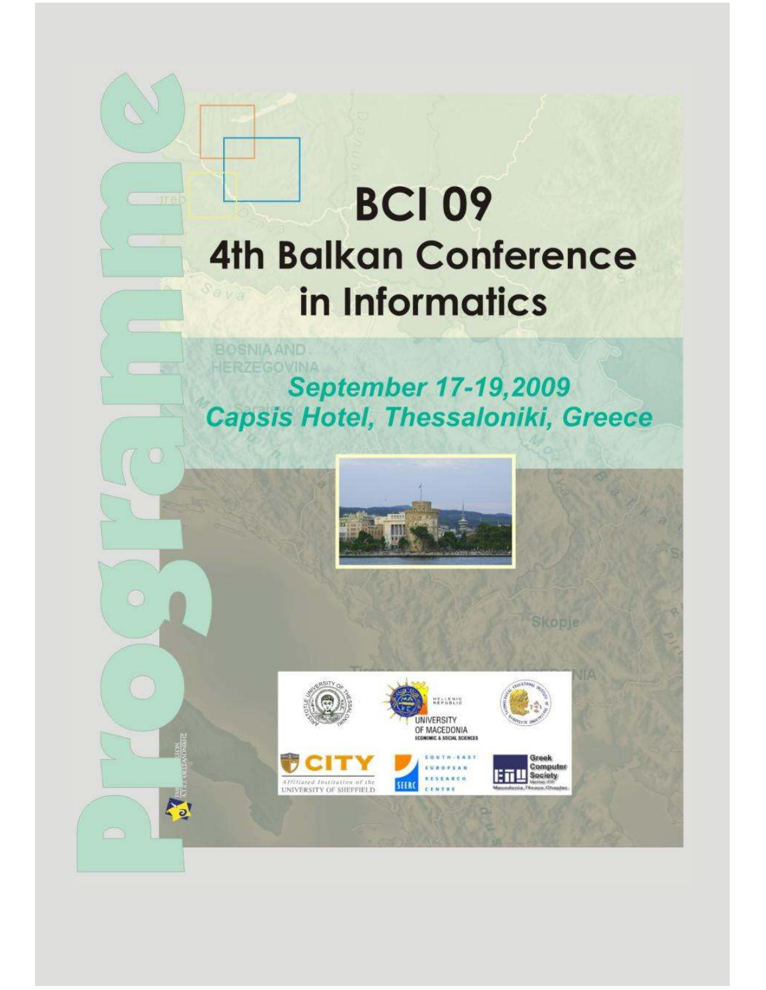# **BCI 09 4th Balkan Conference** in Informatics

## HERZEGOVINA **September 17-19,2009 Capsis Hotel, Thessaloniki, Greece**

**BOSNIA AND** 



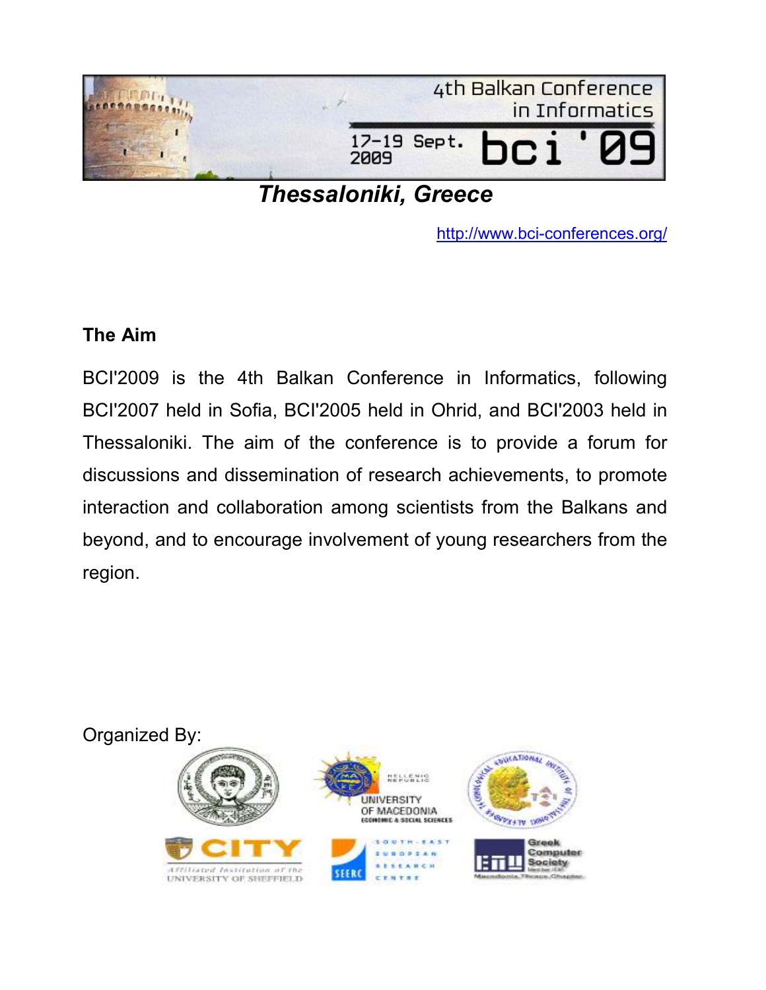

# Thessaloniki, Greece

http://www.bci-conferences.org/

### The Aim

BCI'2009 is the 4th Balkan Conference in Informatics, following BCI'2007 held in Sofia, BCI'2005 held in Ohrid, and BCI'2003 held in Thessaloniki. The aim of the conference is to provide a forum for discussions and dissemination of research achievements, to promote interaction and collaboration among scientists from the Balkans and beyond, and to encourage involvement of young researchers from the region.

Organized By:







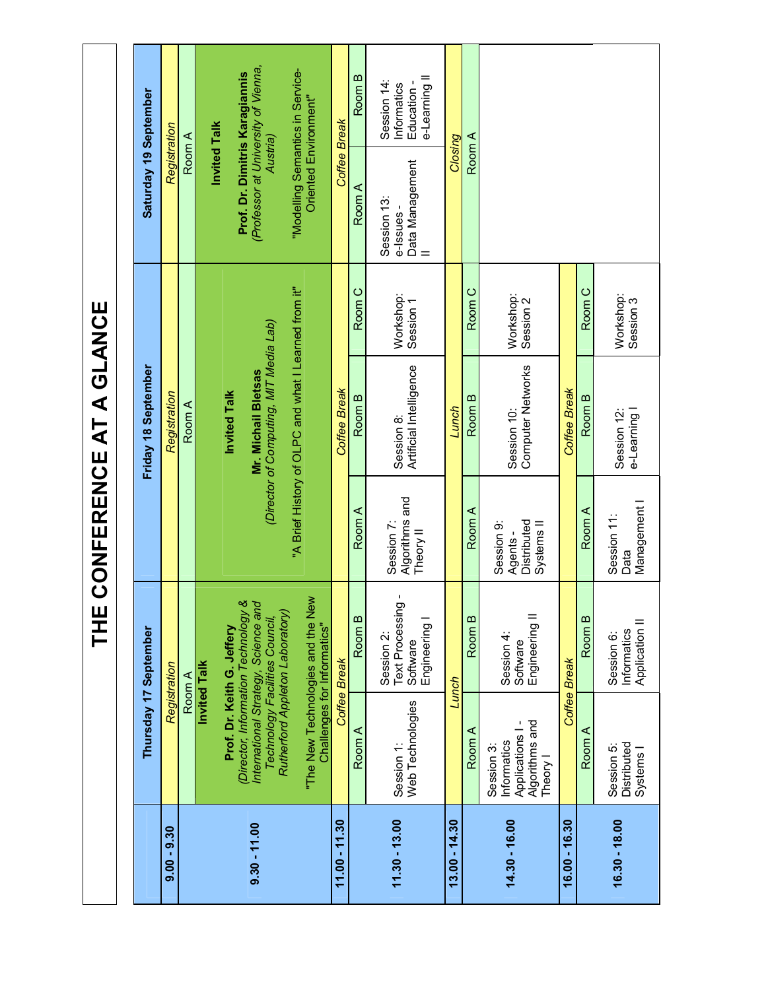|                                    |  | Saturday 19 September | Registration    | Room A | <b>Invited Talk</b> |                                | (Professor at University of Vienna,                                        | Austria)                                             | "Modelling Semantics in Service- | Oriented Environment"                 | Coffee Break                          | Room B | e-Learning II<br>Session 14:<br>Education-<br>Informatics  | Closing                          | Room A       |                                                                           |                           |        |                                             |
|------------------------------------|--|-----------------------|-----------------|--------|---------------------|--------------------------------|----------------------------------------------------------------------------|------------------------------------------------------|----------------------------------|---------------------------------------|---------------------------------------|--------|------------------------------------------------------------|----------------------------------|--------------|---------------------------------------------------------------------------|---------------------------|--------|---------------------------------------------|
| CONFERENCE AT A GLANCE<br>THE<br>H |  |                       |                 |        |                     | Prof. Dr. Dimitris Karagiannis |                                                                            |                                                      |                                  |                                       |                                       | Room A | Data Management<br>II<br>Session 13:<br>e-Issues-          |                                  |              |                                                                           |                           |        |                                             |
|                                    |  |                       |                 |        |                     |                                |                                                                            |                                                      |                                  |                                       |                                       | Room C | Workshop:<br>Session 1                                     |                                  | Room C       | Workshop:<br>Session <sub>2</sub>                                         |                           | Room C | Workshop:<br>Session 3                      |
|                                    |  | Friday 18 September   | Registration    | Room A |                     | <b>Invited Talk</b>            | (Director of Computing, MIT Media Lab)<br>Mr. Michail Bletsas              | "A Brief History of OLPC and what I Learned from it" | Coffee Break                     | Room B                                | Artificial Intelligence<br>Session 8: | Lunch  | Room B                                                     | Computer Networks<br>Session 10: | Coffee Break | Room B                                                                    | Session 12:<br>e-Learning |        |                                             |
|                                    |  |                       |                 |        |                     |                                |                                                                            |                                                      |                                  |                                       |                                       | Room A | Algorithms and<br>Session 7:<br>Theory II                  |                                  | Room A       | Distributed<br>Session 9:<br>Systems <sup>II</sup><br>Agents-             |                           | Room A | Management I<br>Session 11:<br>Data         |
|                                    |  | Thursday 17 September | Registration    | Room A | <b>Invited Talk</b> | Prof. Dr. Keith G. Jeffery     | (Director, Information Technology &<br>International Strategy, Science and | Technology Facilities Council,                       | Rutherford Appleton Laboratory)  | ≷<br>e<br>Challenges for Informatics" | Coffee Break                          | Room B | Text Processing -<br>Engineering<br>Session 2:<br>Software | Lunch                            | Room B       | Software<br>Engineering II<br>Session 4:                                  | Coffee Break              | Room B | Application II<br>Informatics<br>Session 6: |
|                                    |  |                       |                 |        |                     |                                |                                                                            |                                                      |                                  | "The New Technologies and the N       |                                       | Room A | Web Technologies<br>Session 1:                             |                                  | Room A       | Algorithms and<br>Applications I<br>Informatics<br>Session 3:<br>Theory I |                           | Room A | Distributed<br>Session 5:<br>Systems I      |
|                                    |  |                       | $-9.30$<br>00.6 |        |                     |                                | $9.30 - 11.00$                                                             |                                                      |                                  |                                       | 11.00 - 11.30                         |        | $11.30 - 13.00$                                            | $13.00 - 14.30$                  |              | 14.30 - 16.00                                                             | 16.00 - 16.30             |        | $16.30 - 18.00$                             |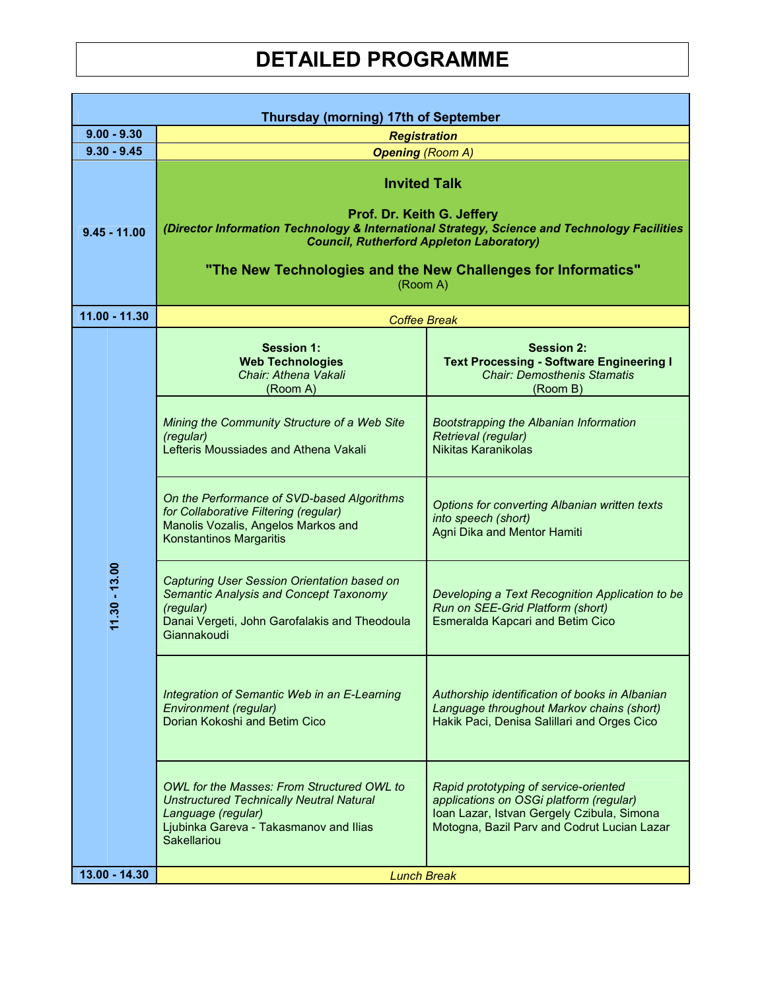# DETAILED PROGRAMME

|                | <b>Thursday (morning) 17th of September</b> |                                                                                                                                                                                                                                                                                                                                                                                                                                                                                                                                                                                                                                                                                                                                                                                                                        |                                                                                                                                                                                                                                                                                                                                                                                                                                                                                                                                                                                                                                                                                                                                                                                        |  |  |  |  |  |  |
|----------------|---------------------------------------------|------------------------------------------------------------------------------------------------------------------------------------------------------------------------------------------------------------------------------------------------------------------------------------------------------------------------------------------------------------------------------------------------------------------------------------------------------------------------------------------------------------------------------------------------------------------------------------------------------------------------------------------------------------------------------------------------------------------------------------------------------------------------------------------------------------------------|----------------------------------------------------------------------------------------------------------------------------------------------------------------------------------------------------------------------------------------------------------------------------------------------------------------------------------------------------------------------------------------------------------------------------------------------------------------------------------------------------------------------------------------------------------------------------------------------------------------------------------------------------------------------------------------------------------------------------------------------------------------------------------------|--|--|--|--|--|--|
|                | $9.00 - 9.30$                               | <b>Registration</b>                                                                                                                                                                                                                                                                                                                                                                                                                                                                                                                                                                                                                                                                                                                                                                                                    |                                                                                                                                                                                                                                                                                                                                                                                                                                                                                                                                                                                                                                                                                                                                                                                        |  |  |  |  |  |  |
|                | $9.30 - 9.45$                               | <b>Opening (Room A)</b>                                                                                                                                                                                                                                                                                                                                                                                                                                                                                                                                                                                                                                                                                                                                                                                                |                                                                                                                                                                                                                                                                                                                                                                                                                                                                                                                                                                                                                                                                                                                                                                                        |  |  |  |  |  |  |
| $9.45 - 11.00$ |                                             | <b>Invited Talk</b><br>Prof. Dr. Keith G. Jeffery<br>(Director Information Technology & International Strategy, Science and Technology Facilities<br><b>Council, Rutherford Appleton Laboratory)</b><br>"The New Technologies and the New Challenges for Informatics"<br>(Room A)                                                                                                                                                                                                                                                                                                                                                                                                                                                                                                                                      |                                                                                                                                                                                                                                                                                                                                                                                                                                                                                                                                                                                                                                                                                                                                                                                        |  |  |  |  |  |  |
|                | $11.00 - 11.30$                             | <b>Coffee Break</b>                                                                                                                                                                                                                                                                                                                                                                                                                                                                                                                                                                                                                                                                                                                                                                                                    |                                                                                                                                                                                                                                                                                                                                                                                                                                                                                                                                                                                                                                                                                                                                                                                        |  |  |  |  |  |  |
|                | 11.30 - 13.00                               | <b>Session 1:</b><br><b>Web Technologies</b><br>Chair: Athena Vakali<br>(Room A)<br>Mining the Community Structure of a Web Site<br>(regular)<br>Lefteris Moussiades and Athena Vakali<br>On the Performance of SVD-based Algorithms<br>for Collaborative Filtering (regular)<br>Manolis Vozalis, Angelos Markos and<br><b>Konstantinos Margaritis</b><br>Capturing User Session Orientation based on<br>Semantic Analysis and Concept Taxonomy<br>(regular)<br>Danai Vergeti, John Garofalakis and Theodoula<br>Giannakoudi<br>Integration of Semantic Web in an E-Learning<br>Environment (regular)<br>Dorian Kokoshi and Betim Cico<br>OWL for the Masses: From Structured OWL to<br><b>Unstructured Technically Neutral Natural</b><br>Language (regular)<br>Ljubinka Gareva - Takasmanov and Ilias<br>Sakellariou | <b>Session 2:</b><br><b>Text Processing - Software Engineering I</b><br><b>Chair: Demosthenis Stamatis</b><br>(Room B)<br>Bootstrapping the Albanian Information<br>Retrieval (regular)<br>Nikitas Karanikolas<br>Options for converting Albanian written texts<br>into speech (short)<br>Agni Dika and Mentor Hamiti<br>Developing a Text Recognition Application to be<br>Run on SEE-Grid Platform (short)<br><b>Esmeralda Kapcari and Betim Cico</b><br>Authorship identification of books in Albanian<br>Language throughout Markov chains (short)<br>Hakik Paci, Denisa Salillari and Orges Cico<br>Rapid prototyping of service-oriented<br>applications on OSGi platform (regular)<br>Ioan Lazar, Istvan Gergely Czibula, Simona<br>Motogna, Bazil Parv and Codrut Lucian Lazar |  |  |  |  |  |  |
| 13.00 - 14.30  |                                             | <b>Lunch Break</b>                                                                                                                                                                                                                                                                                                                                                                                                                                                                                                                                                                                                                                                                                                                                                                                                     |                                                                                                                                                                                                                                                                                                                                                                                                                                                                                                                                                                                                                                                                                                                                                                                        |  |  |  |  |  |  |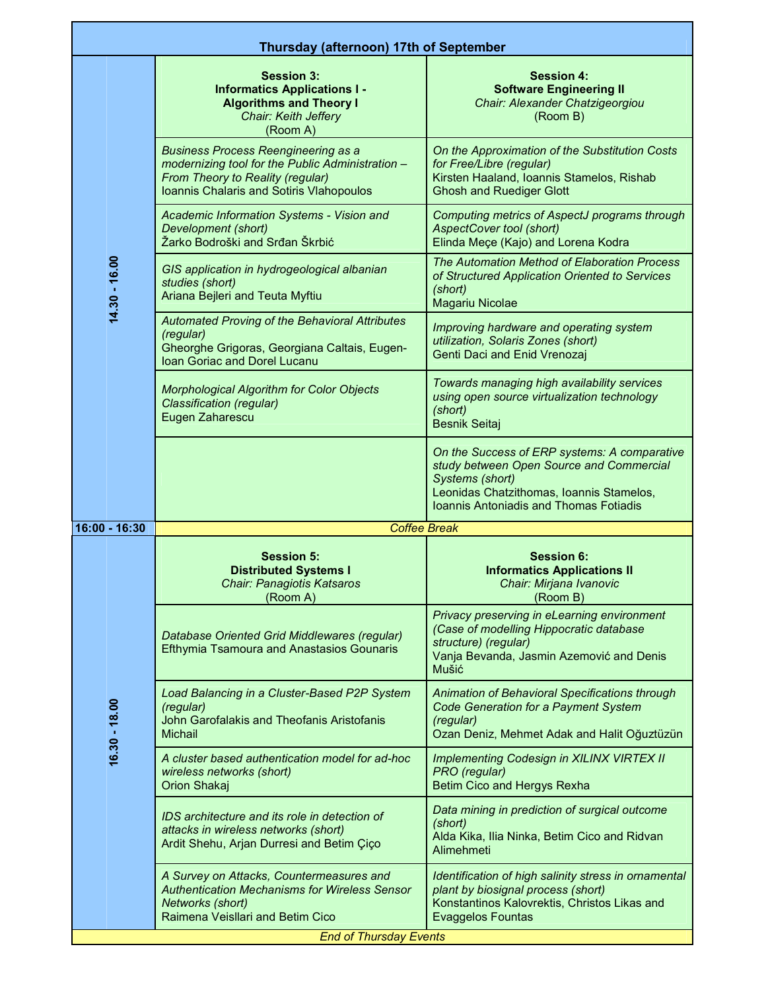| Thursday (afternoon) 17th of September |                                                                                                                                                                                |                                                                                                                                                                                                   |  |  |  |  |  |
|----------------------------------------|--------------------------------------------------------------------------------------------------------------------------------------------------------------------------------|---------------------------------------------------------------------------------------------------------------------------------------------------------------------------------------------------|--|--|--|--|--|
|                                        | <b>Session 3:</b><br><b>Informatics Applications I-</b><br><b>Algorithms and Theory I</b><br>Chair: Keith Jeffery<br>(Room A)                                                  | <b>Session 4:</b><br><b>Software Engineering II</b><br>Chair: Alexander Chatzigeorgiou<br>(Room B)                                                                                                |  |  |  |  |  |
|                                        | <b>Business Process Reengineering as a</b><br>modernizing tool for the Public Administration -<br>From Theory to Reality (regular)<br>Ioannis Chalaris and Sotiris Vlahopoulos | On the Approximation of the Substitution Costs<br>for Free/Libre (regular)<br>Kirsten Haaland, Ioannis Stamelos, Rishab<br><b>Ghosh and Ruediger Glott</b>                                        |  |  |  |  |  |
|                                        | Academic Information Systems - Vision and<br>Development (short)<br>Žarko Bodroški and Srđan Škrbić                                                                            | Computing metrics of AspectJ programs through<br>AspectCover tool (short)<br>Elinda Meçe (Kajo) and Lorena Kodra                                                                                  |  |  |  |  |  |
| 14.30 - 16.00                          | GIS application in hydrogeological albanian<br>studies (short)<br>Ariana Bejleri and Teuta Myftiu                                                                              | The Automation Method of Elaboration Process<br>of Structured Application Oriented to Services<br>(short)<br>Magariu Nicolae                                                                      |  |  |  |  |  |
|                                        | Automated Proving of the Behavioral Attributes<br>(regular)<br>Gheorghe Grigoras, Georgiana Caltais, Eugen-<br>Ioan Goriac and Dorel Lucanu                                    | Improving hardware and operating system<br>utilization, Solaris Zones (short)<br>Genti Daci and Enid Vrenozaj                                                                                     |  |  |  |  |  |
|                                        | <b>Morphological Algorithm for Color Objects</b><br><b>Classification (regular)</b><br>Eugen Zaharescu                                                                         | Towards managing high availability services<br>using open source virtualization technology<br>(short)<br><b>Besnik Seitaj</b>                                                                     |  |  |  |  |  |
|                                        |                                                                                                                                                                                | On the Success of ERP systems: A comparative<br>study between Open Source and Commercial<br>Systems (short)<br>Leonidas Chatzithomas, Ioannis Stamelos,<br>Ioannis Antoniadis and Thomas Fotiadis |  |  |  |  |  |
| 16:00 - 16:30                          | <b>Coffee Break</b>                                                                                                                                                            |                                                                                                                                                                                                   |  |  |  |  |  |
|                                        | <b>Session 5:</b><br><b>Distributed Systems I</b><br>Chair: Panagiotis Katsaros<br>(Room A)                                                                                    | <b>Session 6:</b><br><b>Informatics Applications II</b><br>Chair: Mirjana Ivanovic<br>(Room B)                                                                                                    |  |  |  |  |  |
|                                        | Database Oriented Grid Middlewares (regular)<br><b>Efthymia Tsamoura and Anastasios Gounaris</b>                                                                               | Privacy preserving in eLearning environment<br>(Case of modelling Hippocratic database<br>structure) (regular)<br>Vanja Bevanda, Jasmin Azemović and Denis                                        |  |  |  |  |  |
|                                        |                                                                                                                                                                                | Mušić                                                                                                                                                                                             |  |  |  |  |  |
|                                        | Load Balancing in a Cluster-Based P2P System<br>(regular)<br>John Garofalakis and Theofanis Aristofanis<br><b>Michail</b>                                                      | Animation of Behavioral Specifications through<br>Code Generation for a Payment System<br>(regular)<br>Ozan Deniz, Mehmet Adak and Halit Oğuztüzün                                                |  |  |  |  |  |
| 16.30 - 18.00                          | A cluster based authentication model for ad-hoc<br>wireless networks (short)<br>Orion Shakaj                                                                                   | <b>Implementing Codesign in XILINX VIRTEX II</b><br>PRO (regular)<br><b>Betim Cico and Hergys Rexha</b>                                                                                           |  |  |  |  |  |
|                                        | IDS architecture and its role in detection of<br>attacks in wireless networks (short)<br>Ardit Shehu, Arjan Durresi and Betim Çiço                                             | Data mining in prediction of surgical outcome<br>(short)<br>Alda Kika, Ilia Ninka, Betim Cico and Ridvan<br>Alimehmeti                                                                            |  |  |  |  |  |
|                                        | A Survey on Attacks, Countermeasures and<br><b>Authentication Mechanisms for Wireless Sensor</b><br>Networks (short)<br>Raimena Veisllari and Betim Cico                       | Identification of high salinity stress in ornamental<br>plant by biosignal process (short)<br>Konstantinos Kalovrektis, Christos Likas and<br><b>Evaggelos Fountas</b>                            |  |  |  |  |  |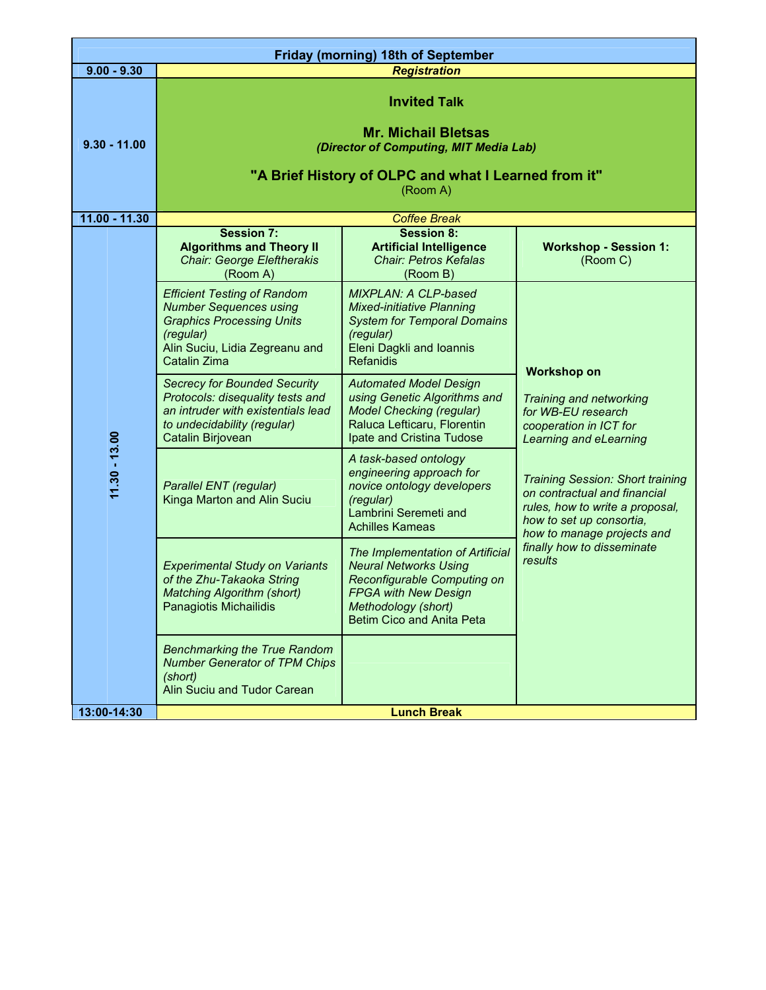| <b>Friday (morning) 18th of September</b> |                                                                                                                                                                        |                                                                                                                                                                                           |                                                                                                                                                                      |  |  |  |  |  |
|-------------------------------------------|------------------------------------------------------------------------------------------------------------------------------------------------------------------------|-------------------------------------------------------------------------------------------------------------------------------------------------------------------------------------------|----------------------------------------------------------------------------------------------------------------------------------------------------------------------|--|--|--|--|--|
| $9.00 - 9.30$                             | <b>Registration</b>                                                                                                                                                    |                                                                                                                                                                                           |                                                                                                                                                                      |  |  |  |  |  |
| $9.30 - 11.00$                            | <b>Invited Talk</b><br><b>Mr. Michail Bletsas</b><br>(Director of Computing, MIT Media Lab)<br>"A Brief History of OLPC and what I Learned from it"<br>(Room A)        |                                                                                                                                                                                           |                                                                                                                                                                      |  |  |  |  |  |
| $11.00 - 11.30$                           |                                                                                                                                                                        | <b>Coffee Break</b>                                                                                                                                                                       |                                                                                                                                                                      |  |  |  |  |  |
|                                           | <b>Session 7:</b><br><b>Algorithms and Theory II</b><br><b>Chair: George Eleftherakis</b><br>(Room A)                                                                  | <b>Session 8:</b><br><b>Artificial Intelligence</b><br><b>Chair: Petros Kefalas</b><br>(Room B)                                                                                           | <b>Workshop - Session 1:</b><br>(Room C)                                                                                                                             |  |  |  |  |  |
|                                           | <b>Efficient Testing of Random</b><br><b>Number Sequences using</b><br><b>Graphics Processing Units</b><br>(regular)<br>Alin Suciu, Lidia Zegreanu and<br>Catalin Zima | <b>MIXPLAN: A CLP-based</b><br><b>Mixed-initiative Planning</b><br><b>System for Temporal Domains</b><br>(regular)<br>Eleni Dagkli and Ioannis<br><b>Refanidis</b>                        | <b>Workshop on</b>                                                                                                                                                   |  |  |  |  |  |
|                                           | <b>Secrecy for Bounded Security</b><br>Protocols: disequality tests and<br>an intruder with existentials lead<br>to undecidability (regular)<br>Catalin Birjovean      | <b>Automated Model Design</b><br>using Genetic Algorithms and<br><b>Model Checking (regular)</b><br>Raluca Lefticaru, Florentin<br>Ipate and Cristina Tudose                              | Training and networking<br>for WB-EU research<br>cooperation in ICT for<br>Learning and eLearning                                                                    |  |  |  |  |  |
| 11.30 - 13.00                             | Parallel ENT (regular)<br>Kinga Marton and Alin Suciu                                                                                                                  | A task-based ontology<br>engineering approach for<br>novice ontology developers<br>(regular)<br>Lambrini Seremeti and<br><b>Achilles Kameas</b>                                           | <b>Training Session: Short training</b><br>on contractual and financial<br>rules, how to write a proposal,<br>how to set up consortia,<br>how to manage projects and |  |  |  |  |  |
|                                           | <b>Experimental Study on Variants</b><br>of the Zhu-Takaoka String<br><b>Matching Algorithm (short)</b><br><b>Panagiotis Michailidis</b>                               | The Implementation of Artificial<br><b>Neural Networks Using</b><br>Reconfigurable Computing on<br><b>FPGA with New Design</b><br>Methodology (short)<br><b>Betim Cico and Anita Peta</b> | finally how to disseminate<br>results                                                                                                                                |  |  |  |  |  |
|                                           | <b>Benchmarking the True Random</b><br><b>Number Generator of TPM Chips</b><br>(short)<br>Alin Suciu and Tudor Carean                                                  |                                                                                                                                                                                           |                                                                                                                                                                      |  |  |  |  |  |
| 13:00-14:30                               |                                                                                                                                                                        | <b>Lunch Break</b>                                                                                                                                                                        |                                                                                                                                                                      |  |  |  |  |  |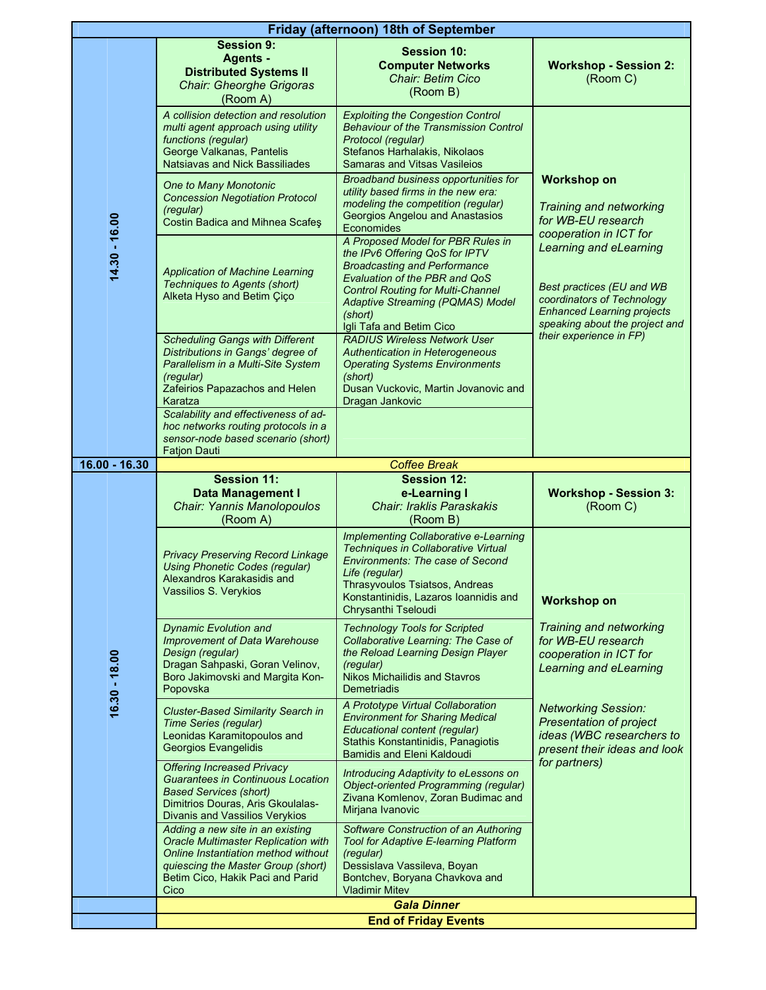| Friday (afternoon) 18th of September |               |                                                                                                                                                                                                                     |                                                                                                                                                                                                                                                                           |                                                                                                                                                                 |  |  |  |  |
|--------------------------------------|---------------|---------------------------------------------------------------------------------------------------------------------------------------------------------------------------------------------------------------------|---------------------------------------------------------------------------------------------------------------------------------------------------------------------------------------------------------------------------------------------------------------------------|-----------------------------------------------------------------------------------------------------------------------------------------------------------------|--|--|--|--|
|                                      |               | <b>Session 9:</b><br><b>Agents -</b><br><b>Distributed Systems II</b><br>Chair: Gheorghe Grigoras<br>(Room A)                                                                                                       | <b>Session 10:</b><br><b>Computer Networks</b><br>Chair: Betim Cico<br>(Room B)                                                                                                                                                                                           | <b>Workshop - Session 2:</b><br>(Room C)                                                                                                                        |  |  |  |  |
|                                      |               | A collision detection and resolution<br>multi agent approach using utility<br>functions (regular)<br>George Valkanas, Pantelis<br><b>Natsiavas and Nick Bassiliades</b>                                             | <b>Exploiting the Congestion Control</b><br><b>Behaviour of the Transmission Control</b><br>Protocol (regular)<br>Stefanos Harhalakis, Nikolaos<br><b>Samaras and Vitsas Vasileios</b>                                                                                    |                                                                                                                                                                 |  |  |  |  |
|                                      | 14.30 - 16.00 | One to Many Monotonic<br><b>Concession Negotiation Protocol</b><br>(regular)<br>Costin Badica and Mihnea Scafeş                                                                                                     | Broadband business opportunities for<br>utility based firms in the new era:<br>modeling the competition (regular)<br>Georgios Angelou and Anastasios<br>Economides                                                                                                        | <b>Workshop on</b><br>Training and networking<br>for WB-EU research<br>cooperation in ICT for                                                                   |  |  |  |  |
|                                      |               | <b>Application of Machine Learning</b><br>Techniques to Agents (short)<br>Alketa Hyso and Betim Çiço                                                                                                                | A Proposed Model for PBR Rules in<br>the IPv6 Offering QoS for IPTV<br><b>Broadcasting and Performance</b><br>Evaluation of the PBR and QoS<br><b>Control Routing for Multi-Channel</b><br><b>Adaptive Streaming (PQMAS) Model</b><br>(short)<br>Igli Tafa and Betim Cico | Learning and eLearning<br><b>Best practices (EU and WB</b><br>coordinators of Technology<br><b>Enhanced Learning projects</b><br>speaking about the project and |  |  |  |  |
|                                      |               | <b>Scheduling Gangs with Different</b><br>Distributions in Gangs' degree of<br>Parallelism in a Multi-Site System<br>(regular)<br>Zafeirios Papazachos and Helen<br>Karatza<br>Scalability and effectiveness of ad- | <b>RADIUS Wireless Network User</b><br>Authentication in Heterogeneous<br><b>Operating Systems Environments</b><br>(short)<br>Dusan Vuckovic, Martin Jovanovic and<br>Dragan Jankovic                                                                                     | their experience in FP)                                                                                                                                         |  |  |  |  |
|                                      |               | hoc networks routing protocols in a<br>sensor-node based scenario (short)<br><b>Fatjon Dauti</b>                                                                                                                    |                                                                                                                                                                                                                                                                           |                                                                                                                                                                 |  |  |  |  |
|                                      | 16.00 - 16.30 | <b>Session 11:</b>                                                                                                                                                                                                  | <b>Coffee Break</b><br><b>Session 12:</b>                                                                                                                                                                                                                                 |                                                                                                                                                                 |  |  |  |  |
|                                      |               |                                                                                                                                                                                                                     |                                                                                                                                                                                                                                                                           |                                                                                                                                                                 |  |  |  |  |
|                                      |               | <b>Data Management I</b><br>Chair: Yannis Manolopoulos<br>(Room A)                                                                                                                                                  | e-Learning I<br><b>Chair: Iraklis Paraskakis</b><br>(Room B)                                                                                                                                                                                                              | <b>Workshop - Session 3:</b><br>(Room C)                                                                                                                        |  |  |  |  |
|                                      |               | <b>Privacy Preserving Record Linkage</b><br><b>Using Phonetic Codes (regular)</b><br>Alexandros Karakasidis and<br>Vassilios S. Verykios                                                                            | Implementing Collaborative e-Learning<br>Techniques in Collaborative Virtual<br><b>Environments: The case of Second</b><br>Life (regular)<br>Thrasyvoulos Tsiatsos, Andreas<br>Konstantinidis, Lazaros Ioannidis and<br>Chrysanthi Tseloudi                               | Workshop on                                                                                                                                                     |  |  |  |  |
|                                      |               | <b>Dynamic Evolution and</b><br><b>Improvement of Data Warehouse</b><br>Design (regular)<br>Dragan Sahpaski, Goran Velinov,<br>Boro Jakimovski and Margita Kon-<br>Popovska                                         | <b>Technology Tools for Scripted</b><br>Collaborative Learning: The Case of<br>the Reload Learning Design Player<br>(regular)<br><b>Nikos Michailidis and Stavros</b><br>Demetriadis                                                                                      | Training and networking<br>for WB-EU research<br>cooperation in ICT for<br>Learning and eLearning                                                               |  |  |  |  |
|                                      | 16.30 - 18.00 | <b>Cluster-Based Similarity Search in</b><br>Time Series (regular)<br>Leonidas Karamitopoulos and<br><b>Georgios Evangelidis</b>                                                                                    | A Prototype Virtual Collaboration<br><b>Environment for Sharing Medical</b><br>Educational content (regular)<br>Stathis Konstantinidis, Panagiotis<br><b>Bamidis and Eleni Kaldoudi</b>                                                                                   | <b>Networking Session:</b><br><b>Presentation of project</b><br>ideas (WBC researchers to<br>present their ideas and look                                       |  |  |  |  |
|                                      |               | <b>Offering Increased Privacy</b><br><b>Guarantees in Continuous Location</b><br><b>Based Services (short)</b><br>Dimitrios Douras, Aris Gkoulalas-<br>Divanis and Vassilios Verykios                               | Introducing Adaptivity to eLessons on<br>Object-oriented Programming (regular)<br>Zivana Komlenov, Zoran Budimac and<br>Mirjana Ivanovic                                                                                                                                  | for partners)                                                                                                                                                   |  |  |  |  |
|                                      |               | Adding a new site in an existing<br><b>Oracle Multimaster Replication with</b><br>Online Instantiation method without<br>quiescing the Master Group (short)<br>Betim Cico, Hakik Paci and Parid<br>Cico             | Software Construction of an Authoring<br>Tool for Adaptive E-learning Platform<br>(regular)<br>Dessislava Vassileva, Boyan<br>Bontchev, Boryana Chavkova and<br><b>Vladimir Mitev</b>                                                                                     |                                                                                                                                                                 |  |  |  |  |
|                                      |               |                                                                                                                                                                                                                     | <b>Gala Dinner</b>                                                                                                                                                                                                                                                        |                                                                                                                                                                 |  |  |  |  |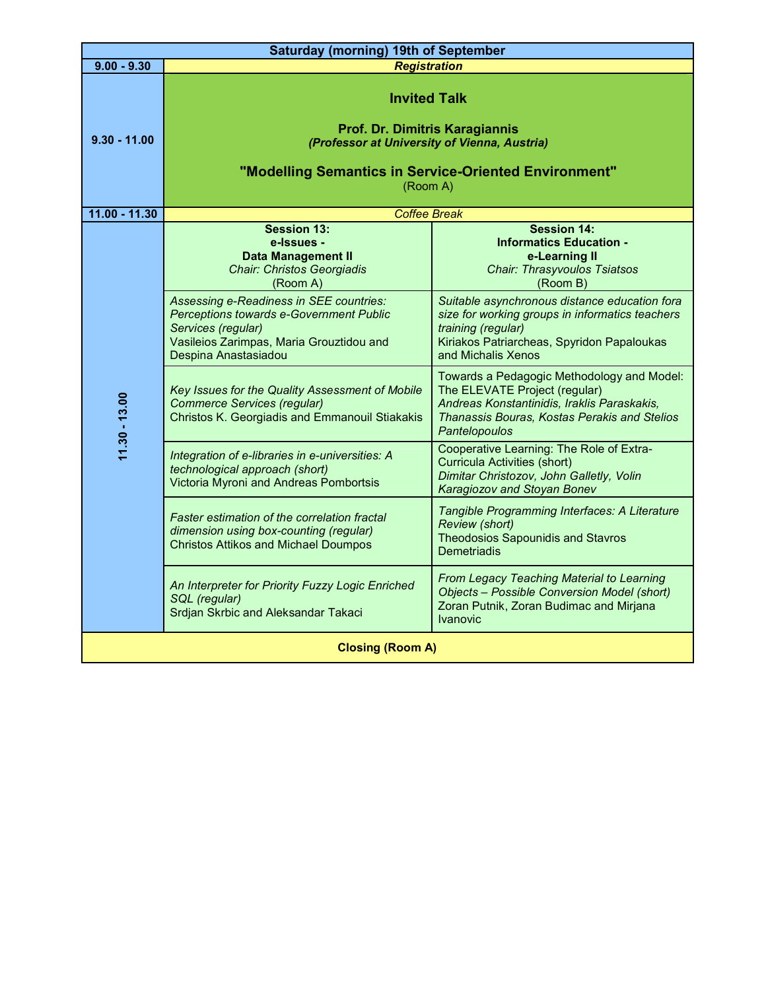| <b>Saturday (morning) 19th of September</b> |                         |                                                                                                                                                                                     |                                                                                                                                                                                             |  |  |  |  |  |
|---------------------------------------------|-------------------------|-------------------------------------------------------------------------------------------------------------------------------------------------------------------------------------|---------------------------------------------------------------------------------------------------------------------------------------------------------------------------------------------|--|--|--|--|--|
|                                             | $9.00 - 9.30$           | <b>Registration</b>                                                                                                                                                                 |                                                                                                                                                                                             |  |  |  |  |  |
| $9.30 - 11.00$                              |                         | <b>Invited Talk</b><br>Prof. Dr. Dimitris Karagiannis<br>(Professor at University of Vienna, Austria)<br>"Modelling Semantics in Service-Oriented Environment"<br>(Room A)          |                                                                                                                                                                                             |  |  |  |  |  |
|                                             | $11.00 - 11.30$         | <b>Coffee Break</b>                                                                                                                                                                 |                                                                                                                                                                                             |  |  |  |  |  |
|                                             |                         | <b>Session 13:</b><br>e-Issues -<br><b>Data Management II</b><br><b>Chair: Christos Georgiadis</b><br>(Room A)                                                                      | <b>Session 14:</b><br><b>Informatics Education -</b><br>e-Learning II<br><b>Chair: Thrasyvoulos Tsiatsos</b><br>(Room B)                                                                    |  |  |  |  |  |
|                                             |                         | Assessing e-Readiness in SEE countries:<br><b>Perceptions towards e-Government Public</b><br>Services (regular)<br>Vasileios Zarimpas, Maria Grouztidou and<br>Despina Anastasiadou | Suitable asynchronous distance education fora<br>size for working groups in informatics teachers<br>training (regular)<br>Kiriakos Patriarcheas, Spyridon Papaloukas<br>and Michalis Xenos  |  |  |  |  |  |
|                                             | 11.30 - 13.00           | Key Issues for the Quality Assessment of Mobile<br><b>Commerce Services (regular)</b><br>Christos K. Georgiadis and Emmanouil Stiakakis                                             | Towards a Pedagogic Methodology and Model:<br>The ELEVATE Project (regular)<br>Andreas Konstantinidis, Iraklis Paraskakis,<br>Thanassis Bouras, Kostas Perakis and Stelios<br>Pantelopoulos |  |  |  |  |  |
|                                             |                         | Integration of e-libraries in e-universities: A<br>technological approach (short)<br>Victoria Myroni and Andreas Pombortsis                                                         | Cooperative Learning: The Role of Extra-<br><b>Curricula Activities (short)</b><br>Dimitar Christozov, John Galletly, Volin<br>Karagiozov and Stoyan Bonev                                  |  |  |  |  |  |
|                                             |                         | Faster estimation of the correlation fractal<br>dimension using box-counting (regular)<br><b>Christos Attikos and Michael Doumpos</b>                                               | Tangible Programming Interfaces: A Literature<br><b>Review</b> (short)<br><b>Theodosios Sapounidis and Stavros</b><br><b>Demetriadis</b>                                                    |  |  |  |  |  |
|                                             |                         | An Interpreter for Priority Fuzzy Logic Enriched<br>SQL (regular)<br>Srdjan Skrbic and Aleksandar Takaci                                                                            | From Legacy Teaching Material to Learning<br><b>Objects - Possible Conversion Model (short)</b><br>Zoran Putnik, Zoran Budimac and Mirjana<br><b>Ivanovic</b>                               |  |  |  |  |  |
|                                             | <b>Closing (Room A)</b> |                                                                                                                                                                                     |                                                                                                                                                                                             |  |  |  |  |  |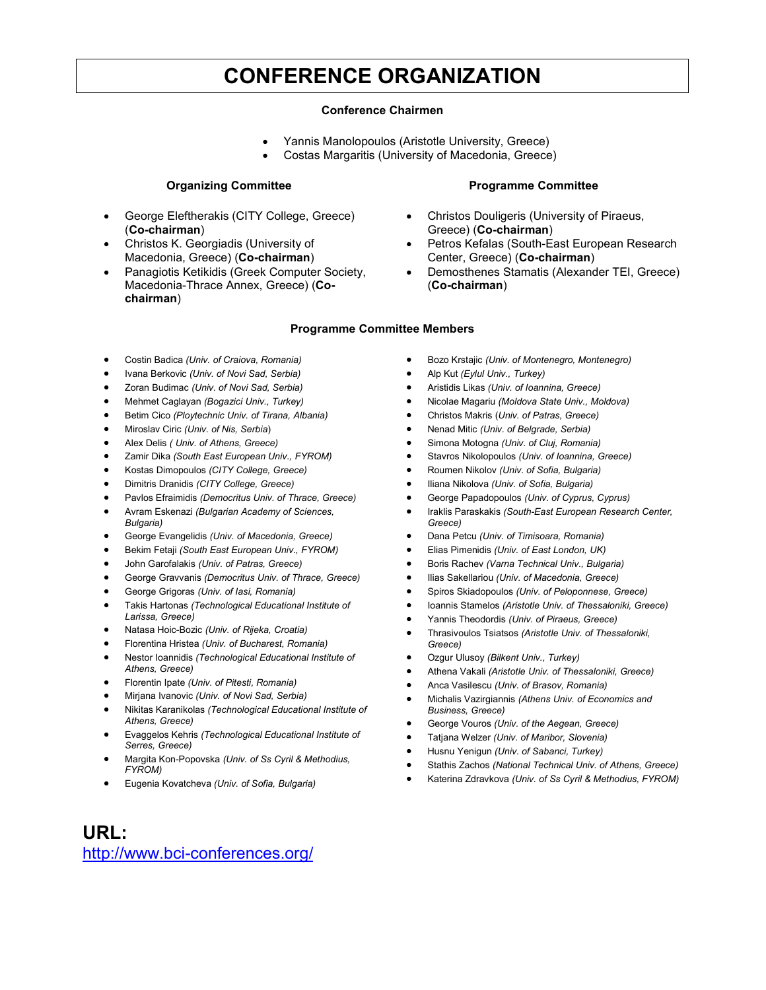## CONFERENCE ORGANIZATION

#### Conference Chairmen

- Yannis Manolopoulos (Aristotle University, Greece)
- Costas Margaritis (University of Macedonia, Greece)

#### Organizing Committee

- George Eleftherakis (CITY College, Greece) (Co-chairman)
- Christos K. Georgiadis (University of Macedonia, Greece) (Co-chairman)
- Panagiotis Ketikidis (Greek Computer Society, Macedonia-Thrace Annex, Greece) (Cochairman)

#### Programme Committee

- Christos Douligeris (University of Piraeus, Greece) (Co-chairman)
- Petros Kefalas (South-East European Research Center, Greece) (Co-chairman)
- Demosthenes Stamatis (Alexander TEI, Greece) (Co-chairman)

#### Programme Committee Members

- Costin Badica (Univ. of Craiova, Romania)
- Ivana Berkovic (Univ. of Novi Sad, Serbia)
- Zoran Budimac (Univ. of Novi Sad, Serbia)
- Mehmet Caglayan (Bogazici Univ., Turkey)
- Betim Cico (Ploytechnic Univ. of Tirana, Albania)
- Miroslav Ciric (Univ. of Nis, Serbia)
- Alex Delis ( Univ. of Athens, Greece)
- Zamir Dika (South East European Univ., FYROM)
- Kostas Dimopoulos (CITY College, Greece)
- Dimitris Dranidis (CITY College, Greece)
- Pavlos Efraimidis (Democritus Univ. of Thrace, Greece)
- Avram Eskenazi (Bulgarian Academy of Sciences, Bulgaria)
- George Evangelidis (Univ. of Macedonia, Greece)
- Bekim Fetaji (South East European Univ., FYROM)
- John Garofalakis (Univ. of Patras, Greece)
- George Gravvanis (Democritus Univ. of Thrace, Greece)
- George Grigoras (Univ. of Iasi, Romania)
- Takis Hartonas (Technological Educational Institute of Larissa, Greece)
- Natasa Hoic-Bozic (Univ. of Rijeka, Croatia)
- Florentina Hristea (Univ. of Bucharest, Romania)
- Nestor Ioannidis (Technological Educational Institute of Athens, Greece)
- Florentin Ipate (Univ. of Pitesti, Romania)
- Mirjana Ivanovic (Univ. of Novi Sad, Serbia)
- Nikitas Karanikolas (Technological Educational Institute of Athens, Greece)
- Evaggelos Kehris (Technological Educational Institute of Serres, Greece)
- Margita Kon-Popovska (Univ. of Ss Cyril & Methodius, FYROM)
- Eugenia Kovatcheva (Univ. of Sofia, Bulgaria)
- Bozo Krstajic (Univ. of Montenegro, Montenegro)
- Alp Kut (Eylul Univ., Turkey)
- Aristidis Likas (Univ. of Ioannina, Greece)
- Nicolae Magariu (Moldova State Univ., Moldova)
- Christos Makris (Univ. of Patras, Greece)
- Nenad Mitic (Univ. of Belgrade, Serbia)
- Simona Motogna (Univ. of Cluj, Romania)
- Stavros Nikolopoulos (Univ. of Ioannina, Greece)
- Roumen Nikolov (Univ. of Sofia, Bulgaria)
- Iliana Nikolova (Univ. of Sofia, Bulgaria)
- George Papadopoulos (Univ. of Cyprus, Cyprus)
- Iraklis Paraskakis (South-East European Research Center, Greece)
- Dana Petcu (Univ. of Timisoara, Romania)
- Elias Pimenidis (Univ. of East London, UK)
- Boris Rachev (Varna Technical Univ., Bulgaria)
- Ilias Sakellariou (Univ. of Macedonia, Greece)
- Spiros Skiadopoulos (Univ. of Peloponnese, Greece)
- Ioannis Stamelos (Aristotle Univ. of Thessaloniki, Greece)
- Yannis Theodordis (Univ. of Piraeus, Greece)
- Thrasivoulos Tsiatsos (Aristotle Univ. of Thessaloniki, Greece)
- Ozgur Ulusoy (Bilkent Univ., Turkey)
- Athena Vakali (Aristotle Univ. of Thessaloniki, Greece)
- Anca Vasilescu (Univ. of Brasov, Romania)
- Michalis Vazirgiannis (Athens Univ. of Economics and Business, Greece)
- George Vouros (Univ. of the Aegean, Greece)
- Tatjana Welzer (Univ. of Maribor, Slovenia)
- Husnu Yenigun (Univ. of Sabanci, Turkey)
- Stathis Zachos (National Technical Univ. of Athens, Greece)
- Katerina Zdravkova (Univ. of Ss Cyril & Methodius, FYROM)

URL: http://www.bci-conferences.org/